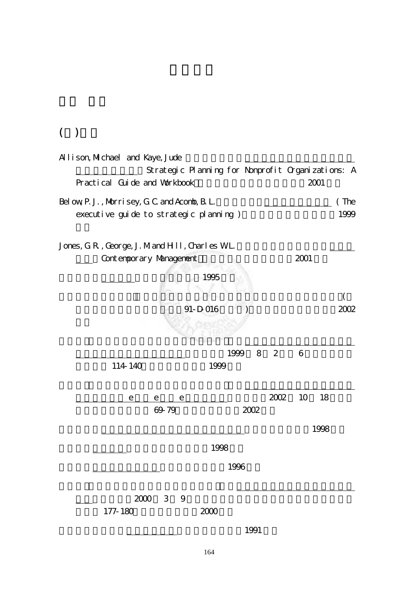## $($

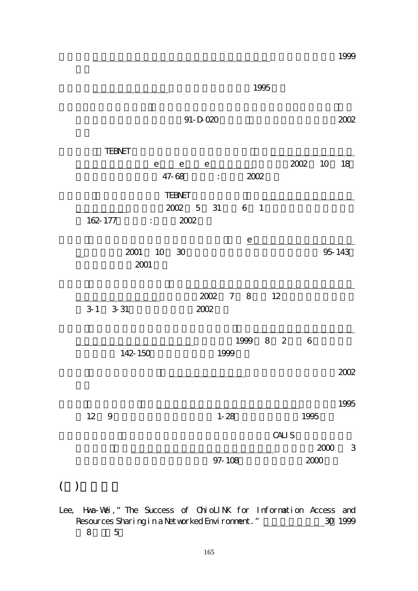|                   |            |                                         |                |      |                |                |      |                |      |        | 1999   |
|-------------------|------------|-----------------------------------------|----------------|------|----------------|----------------|------|----------------|------|--------|--------|
|                   |            |                                         |                |      |                |                | 1995 |                |      |        |        |
|                   |            |                                         | $91 - D - 020$ |      |                |                |      |                |      |        | 2002   |
| <b>TEBNET</b>     |            |                                         |                |      |                |                |      |                |      |        |        |
|                   |            | e e                                     |                | е    |                |                |      |                | 2002 | $10$   | 18     |
|                   |            | 47-68                                   |                | ÷.   |                | 2002           |      |                |      |        |        |
|                   |            | <b>TEBNET</b>                           |                |      |                |                |      |                |      |        |        |
|                   |            | 2002 5                                  |                | 31   |                | $6-1$          |      |                |      |        |        |
| 162-177           |            | $\mathbb{E}[\mathbf{r}^{\text{max}}]$ . | 2002           |      |                |                |      |                |      |        |        |
|                   |            |                                         |                |      |                | $\overline{e}$ |      |                |      |        |        |
|                   | 10<br>2001 | - 30                                    |                |      |                |                |      |                |      |        | 95-143 |
|                   | 2001       |                                         |                |      |                |                |      |                |      |        |        |
|                   |            |                                         |                |      |                |                |      |                |      |        |        |
|                   |            |                                         |                | 2002 | $\overline{7}$ | 8 <sup>8</sup> |      | 12             |      |        |        |
| $3-1$<br>$3 - 31$ |            |                                         | 2002           |      |                |                |      |                |      |        |        |
|                   |            |                                         |                |      |                |                |      |                |      |        |        |
|                   |            |                                         |                |      |                | 1999           | 8    | $\overline{2}$ | 6    |        |        |
|                   | 142-150    |                                         |                |      | 1999           |                |      |                |      |        |        |
|                   |            |                                         |                |      |                |                |      |                |      |        | 2002   |
|                   |            |                                         |                |      |                |                |      |                |      |        |        |
|                   |            |                                         |                |      |                |                |      |                |      |        | 1995   |
| 12<br>9           |            |                                         |                |      | $1 - 28$       |                |      |                | 1995 |        |        |
|                   |            |                                         |                |      |                |                |      |                |      |        |        |
|                   |            |                                         |                |      |                |                |      | CALI S         |      | 2000   | 3      |
|                   |            |                                         |                |      | 97-108         |                |      |                |      | $2000$ |        |
|                   |            |                                         |                |      |                |                |      |                |      |        |        |

## $($   $)$

Lee, Hwa-Wei, "The Success of ChioLINK for Information Access and Resources Sharing in a Networked Environment." 20 1999 年 8 月):5。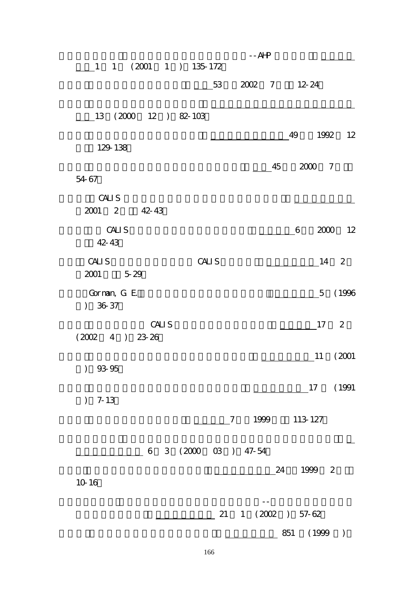| $1 1 (2001 1) 135-172$        |                      | $ AHP$                         |               |
|-------------------------------|----------------------|--------------------------------|---------------|
|                               | 53                   | 2002 7                         | $12 - 24$     |
| 13 (2000 12 ) 82-103          |                      |                                |               |
| 129-138                       |                      |                                | 1992 12<br>49 |
| 54-67                         |                      | 45                             | 2000 7        |
| CALI S<br>2001 2<br>42-43     |                      |                                |               |
| CALI S<br>42-43               |                      |                                | 2000 12<br>6  |
| CALI S<br>2001 5-29           | CALI S               |                                | 14 2          |
| Gorman, G. E.<br>$36-37$      |                      |                                | 5 (1996       |
| CALI S<br>(2002)<br>4 ) 23-26 |                      |                                | $17 \quad 2$  |
| $)$ 93-95                     |                      |                                | 11<br>(2001)  |
| $) 7-13$                      |                      |                                | 17 (1991      |
|                               |                      | 1999 113-127<br>$\overline{7}$ |               |
|                               | 6 3 (2000 03 ) 47-54 |                                |               |
| 10-16                         |                      |                                | 24<br>1999 2  |
|                               | 21                   | 1 (2002 ) 57-62                |               |
|                               |                      |                                | 851 (1999 )   |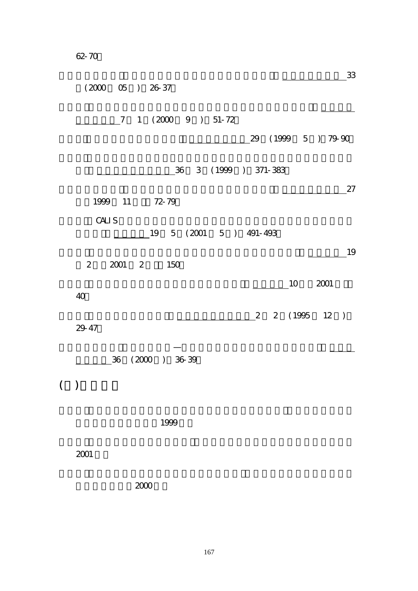62-70。

| 33<br>$(2000 \t 05)$ $26-37$     |
|----------------------------------|
| 7 1 (2000 9 ) 51-72              |
| 29 (1999 5) 79-90                |
| 36 3 (1999 ) 371-383             |
| 27<br>1999 11 72-79              |
| CALI S<br>19 5 (2001 5 ) 491-493 |
| 19<br>2 2001 2 150               |
| $10 \t 2001$<br>$40$             |
| 2 2 (1995 12 )<br>29-47          |
| 36 (2000 ) 36-39                 |
| ( )                              |
| 1999                             |
| 2001                             |
| 2000                             |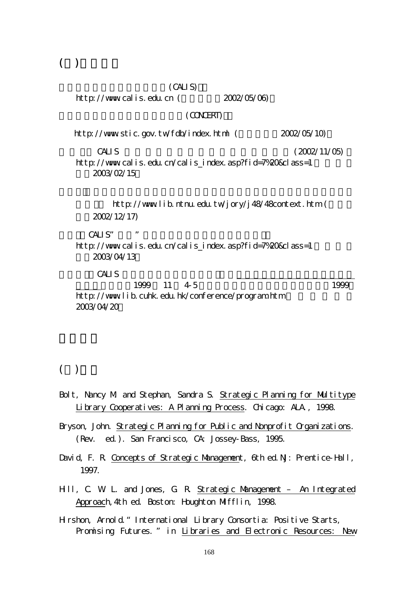$($ )

| (CALI S)                                                                                                        |                                                    |
|-----------------------------------------------------------------------------------------------------------------|----------------------------------------------------|
| http://www.calis.edu.cn $($                                                                                     | 2002/05/06)                                        |
| (CONCERT)                                                                                                       |                                                    |
| http://www.stic.gov.tw/fdb/index.html (                                                                         | 2002/05/10)                                        |
| CALI <sub>S</sub><br>http://www.calis.edu.cn/calis_index.asp?fid=7%20&class=1<br>2003/02/15                     | (2002/11/05)                                       |
| 2002/12/17)                                                                                                     | http://wwwlib.ntnu.edu.tw/jory/j48/48context.htm ( |
| CAI S''<br>$\boldsymbol{\mathit{II}}$<br>http://www.calis.edu.cn/calis_index.asp?fid=7%20&class=1<br>2003/04/13 |                                                    |
| CALI S<br>1999 11 4-5<br>http://wwwlib.cuhk.edu.hk/conference/program.htm<br>2003/04/20                         | 1999                                               |

#### $($   $)$

- Bolt, Nancy M and Stephan, Sandra S. Strategic Planning for Multitype Library Cooperatives: A Planning Process. Chicago: ALA., 1998.
- Bryson, John. Strategic Planning for Public and Nonprofit Organizations. (Rev. ed.). San Francisco, CA: Jossey-Bass, 1995.
- David, F. R. Concepts of Strategic Management, 6th ed. NJ: Prentice-Hall, 1997.
- Hill, C. W. L. and Jones, G. R. Strategic Management An Integrated Approach,4th ed. Boston: Houghton Mifflin, 1998.
- Hirshon, Arnold."International Library Consortia: Positive Starts, Promising Futures. " in Libraries and Electronic Resources: New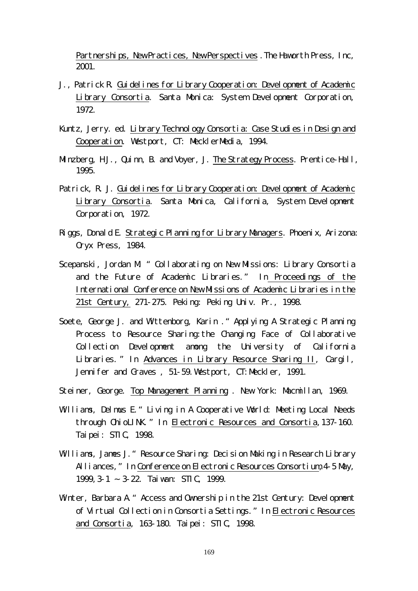Partnerships, New Practices, New Perspectives. The Haworth Press, Inc, 2001.

- J., Patrick R. Guidelines for Library Cooperation: Development of Academic Library Consortia. Santa Monica: System Development Corporation, 1972.
- Kuntz, Jerry. ed. Library Technology Consortia: Case Studies in Design and Cooperation. Westport, CT: MecklerMedia, 1994.
- Minzberg, HJ., Quinn, B. and Voyer, J. The Strategy Process. Prentice-Hall, 1995.
- Patrick, R. J. Guidelines for Library Cooperation: Development of Academic Library Consortia. Santa Monica, California, System Development Corporation, 1972.
- Riggs, Donald E. Strategic Planning for Library Managers. Phoenix, Arizona: Oryx Press, 1984.
- Scepanski, Jordan M<sup>"</sup> Collaborating on New Missions: Library Consortia and the Future of Academic Libraries." In Proceedings of the International Conference on New Missions of Academic Libraries in the 21st Century, 271-275. Peking: Peking Univ. Pr., 1998.
- Soete, George J. and Wittenborg, Karin . "Applying A Strategic Planning Process to Resource Sharing:the Changing Face of Collaborative Collection Development among the University of California Libraries. " In Advances in Library Resource Sharing II, Cargil, Jennifer and Graves, 51-59. Westport, CT: Meckler, 1991.
- Steiner, George. Top Management Planning . New York: Macmillan, 1969.
- Williams, Delmus E. "Living in A Cooperative World: Meeting Local Needs through OhioLINK."In Electronic Resources and Consortia,137-160. Taipei: STIC, 1998.
- Williams, James J. "Resource Sharing: Decision Making in Research Library Alliances, "In Conference on Electronic Resources Consortium, 4-5 May, 1999,3-1 ~ 3-22. Taiwan: STIC, 1999.
- Winter, Barbara A. " Access and Ownership in the 21st Century: Development of Virtual Collection in Consortia Settings."In Electronic Resources and Consortia, 163-180. Taipei: STIC, 1998.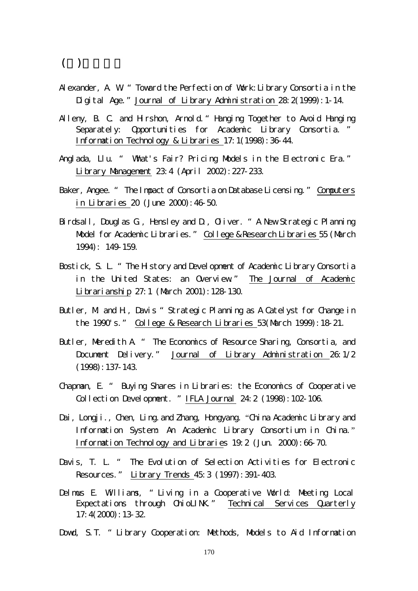### $($ )

- Alexander, A. W " Toward the Perfection of Work: Library Consortia in the Digital Age." Journal of Library Administration 28: 2(1999): 1-14.
- Alleny, B. C. and Hirshon, Arnold. "Hanging Together to Avoid Hanging Separately: Opportunities for Academic Library Consortia. " Information Technology & Libraries 17:1(1998):36-44.
- Anglada, Llu. " What's Fair? Pricing Models in the Electronic Era." Library Management 23:4 (April 2002):227-233.
- Baker, Angee. " The Impact of Consortia on Database Licensing." Computers in Libraries 20 (June 2000):46-50.
- Birdsall, Douglas G., Hensley and D., Oliver. " A New Strategic Planning Model for Academic Libraries." College & Research Libraries 55 (March 1994): 149-159.
- Bostick, S. L. " The History and Development of Academic Library Consortia in the United States: an Overview" The Journal of Academic Librarianship 27:1 (March 2001):128-130.
- Butler, M and H, Davis "Strategic Planning as A Catelyst for Change in the 1990's." College & Research Libraries 53(March 1999):18-21.
- Butler, Maredith A. " The Economics of Resource Sharing, Consortia, and Document Delivery." Journal of Library Administration 26:1/2 (1998):137-143.
- Chapman, E. " Buying Shares in Libraries: the Economics of Cooperative Collection Development. "IFLA Journal 24:2 (1998):102-106.
- Dai, Longji., Chen, Ling. and Zhang, Hongyang. "China Academic Library and Information System: An Academic Library Consortium in China." Information Technology and Libraries 19:2 (Jun. 2000):66-70.
- Davis, T. L. " The Evolution of Selection Activities for Electronic Resources." Library Trends 45:3 (1997):391-403.
- Delmus E. Williams, "Living in a Cooperative World: Meeting Local Expectations through ChioLINK." Technical Services Quarterly 17:4(2000):13-32.
- Dowd, S.T. " Library Cooperation: Methods, Models to Aid Information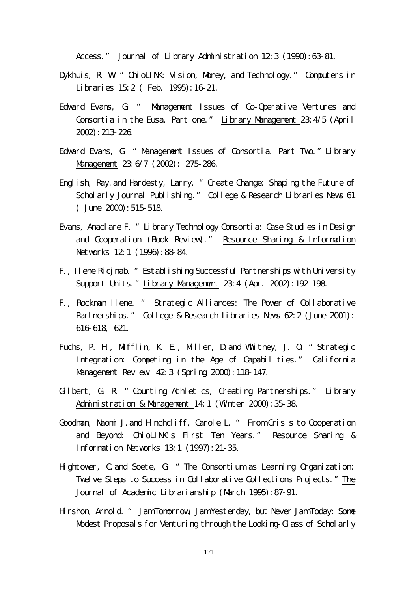Access." Journal of Library Administration 12:3 (1990): 63-81.

- Dykhuis, R. W. " ChioLINK: Vision, Money, and Technology. " Computers in Libraries 15:2 ( Feb. 1995):16-21.
- Edward Evans, G. " Management Issues of Co-Operative Ventures and Consortia in the Eusa. Part one." Library Management 23:4/5 (April 2002):213-226.
- Edward Evans, G. "Management Issues of Consortia. Part Two." Library Management 23:6/7 (2002): 275-286.
- English, Ray.and Hardesty, Larry. "Create Change: Shaping the Future of Scholarly Journal Publishing." College & Research Libraries News 61  $($  June 2000): 515-518.
- Evans, Anaclare F. "Library Technology Consortia: Case Studies in Design and Cooperation (Book Review)." Resource Sharing & Information Networks 12:1 (1996): 88-84.
- F., Ilene Ricjnab. "Establishing Successful Partnerships with University Support Units."Library Management 23:4 (Apr. 2002):192-198.
- F., Rockman Ilene. " Strategic Alliances: The Power of Collaborative Partnerships." College & Research Libraries News 62:2 (June 2001): 616-618, 621.
- Fuchs, P. H., Mifflin, K. E., Miller, D.and Whitney, J. O. "Strategic Integration: Competing in the Age of Capabilities." California Management Review 42:3 (Spring 2000): 118-147.
- Gilbert, G. R. "Courting Athletics, Creating Partnerships." Library Administration & Management 14:1 (Winter 2000):35-38.
- Goodman, Naomi J.and Hinchcliff, Carole L. " From Crisis to Cooperation and Beyond: OhioLINK's First Ten Years." Resource Sharing & Information Networks 13:1 (1997):21-35.
- Hightower, C.and Soete, G. "The Consortium as Learning Organization: Twelve Steps to Success in Collaborative Collections Projects." The Journal of Academic Librarianship (March 1995):87-91.
- Hirshon, Arnold. " Jam Tomorrow, Jam Yesterday, but Never Jam Today: Some Modest Proposals for Venturing through the Looking-Glass of Scholarly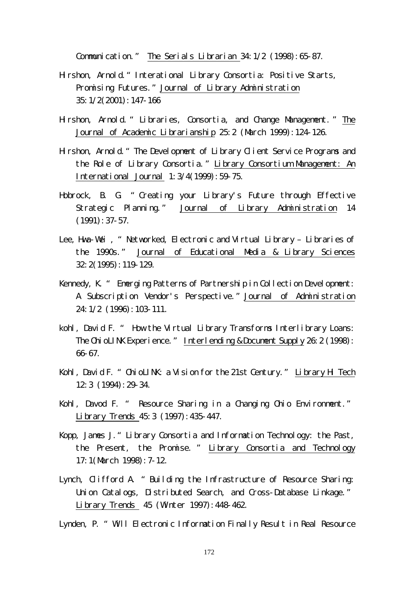Communication." The Serials Librarian 34:1/2 (1998):65-87.

- Hirshon, Arnold."Interational Library Consortia: Positive Starts, Promising Futures."Journal of Library Administration 35:1/2(2001):147-166
- Hirshon, Arnold. " Libraries, Consortia, and Change Management. " The Journal of Academic Librarianship 25:2 (March 1999):124-126.
- Hirshon, Arnold."The Development of Library Client Service Programs and the Role of Library Consortia."Library Consortium Management: An International Journal 1:3/4(1999):59-75.
- Hobrock, B. G. " Creating your Library's Future through Effective Strategic Planning." Journal of Library Administration 14 (1991):37-57.
- Lee, Hwa-Wei, "Networked, Electronic and Virtual Library Libraries of the 1990s." Journal of Educational Media & Library Sciences 32:2(1995):119-129.
- Kennedy, K. " Emerging Patterns of Partnership in Collection Development: A Subscription Vendor's Perspective."Journal of Administration 24:1/2 (1996):103-111.
- kohl, David F. " How the Virtual Library Transforms Interlibrary Loans: The ChioLINK Experience." Interlending & Document Supply 26: 2 (1998): 66-67.
- Kohl, David F. " OhioLINK: a Vision for the 21st Century." Library Hi Tech 12:3 (1994):29-34.
- Kohl, Davod F. " Resource Sharing in a Changing Ohio Environment." Library Trends 45:3 (1997):435-447.
- Kopp, James J."Library Consortia and Information Technology: the Past, the Present, the Promise. " Library Consortia and Technology 17:1(March 1998):7-12.
- Lynch, Clifford A. "Building the Infrastructure of Resource Sharing: Union Catalogs, Distributed Search, and Cross-Database Linkage." Library Trends 45 (Winter 1997):448-462.

Lynden, P. " Will Electronic Information Finally Result in Real Resource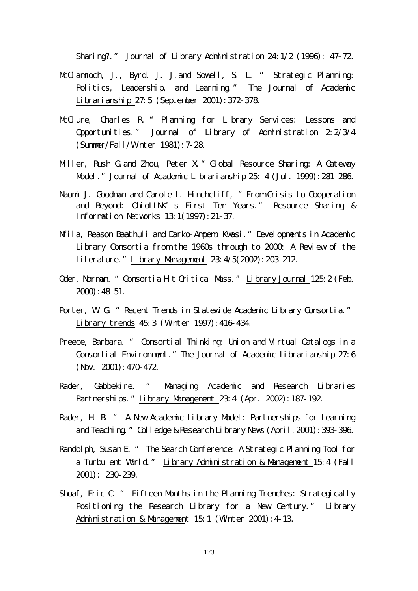Sharing?." Journal of Library Administration 24:1/2 (1996): 47-72.

- McClamroch, J., Byrd, J. J. and Sovell, S. L. "Strategic Planning: Politics, Leadership, and Learning." The Journal of Academic Librarianship 27:5 (September 2001):372-378.
- McClure, Charles R " Planning for Library Services: Lessons and Opportunities." Journal of Library of Administration 2:2/3/4 (Summer/Fall/Winter 1981):7-28.
- Miller, Rush G and Zhou, Peter X. " Global Resource Sharing: A Gateway Model." Journal of Academic Librarianship 25: 4 (Jul. 1999): 281-286.
- Naomi J. Goodman and Carole L. Hinchcliff, "From Crisis to Cooperation and Beyond: OhioLINK's First Ten Years." Resource Sharing & Information Networks 13:1(1997):21-37.
- Nfila, Reason Baathuli and Darko-Ampem, Kwasi."Developments in Academic Library Consortia from the 1960s through to 2000: A Review of the Literature."Library Management 23:4/5(2002):203-212.
- Oder, Norman. "Consortia Hit Critical Mass." Library Journal 125:2 (Feb. 2000):48-51.
- Porter, W. G. " Recent Trends in Statewide Academic Library Consortia." Library trends 45:3 (Winter 1997):416-434.
- Preece, Barbara. " Consortial Thinking: Union and Virtual Catalogs in a Consortial Environment." The Journal of Academic Librarianship 27:6 (Nov. 2001):470-472.
- Rader, Gabbekire. " Managing Academic and Research Libraries Partnerships." Library Management 23:4 (Apr. 2002): 187-192.
- Rader, H. B. " A New Academic Library Model: Partnerships for Learning and Teaching." Colledge & Research Library News (April. 2001): 393-396.
- Randolph, Susan E. " The Search Conference: A Strategic Planning Tool for a Turbulent World." Library Administration & Management 15:4 (Fall 2001): 230-239.
- Shoaf, Eric C. " Fifteen Months in the Planning Trenches: Strategically Positioning the Research Library for a New Century." Library Administration & Management 15:1 (Winter 2001): 4-13.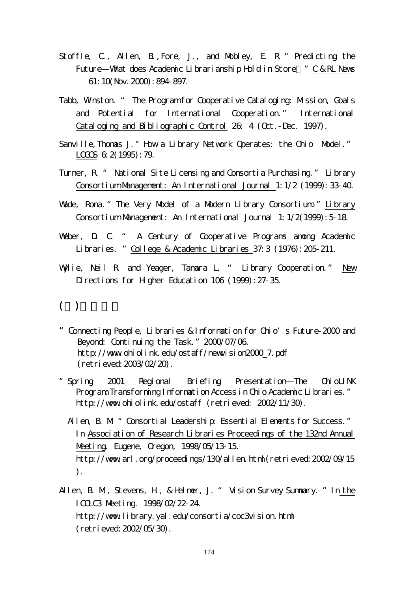- Stoffle, C., Allen, B., Fore, J., and Mobley, E. R. "Predicting the Future—What does Academic Librarianship Hold in Store "C & RL News 61:10(Nov.2000):894-897.
- Tabb, Winston. " The Program for Cooperative Cataloging: Mission, Goals and Potential for International Cooperation." International Cataloging and Bibliographic Control 26: 4 (Oct.-Dec. 1997).
- Sanville, Thomas J. " How a Library Network Operates: the Ohio Model." LOGOS 6: 2(1995): 79.
- Turner, R. " National Site Licensing and Consortia Purchasing." Library Consortium Management: An International Journal 1:1/2 (1999):33-40.
- Wade, Rona. " The Very Model of a Modern Library Consortium." Library Consortium Management: An International Journal 1:1/2(1999):5-18.
- Weber, D. C. " A Century of Cooperative Programs among Academic Libraries. "College & Academic Libraries 37:3 (1976):205-211.
- Wylie, Neil R. and Yeager, Tamara L. " Library Cooperation." New Directions for Higher Education 106 (1999): 27-35.

# $($

- "Connecting People, Libraries & Information for Ohio's Future-2000 and Beyond: Continuing the Task."2000/07/06. http://www.ohiolink.edu/ostaff/newvision2000\_7.pdf (retrieved:2003/02/20).
- "Spring 2001 Regional Briefing Presentation—The OhioLINK Program: Transforming Information Access in Ohio Academic Libraries." http://www.ohiolink.edu/ostaff (retrieved: 2002/11/30).
	- Allen, B. M. " Consortial Leadership: Essential Elements for Success." In Association of Research Libraries Proceedings of the 132nd Annual Meeting. Eugene, Oregon, 1998/05/13-15. http://www.arl.org/proceedings/130/allen.html(retrieved: 2002/09/15 ).
- Allen, B. M., Stevens, H., & Helmer, J. " Vision Survey Summary. "In the ICOLC3 Meeting. 1998/02/22-24. http://wwwlibrary.yal.edu/consortia/coc3vision.html (retrieved:2002/05/30).